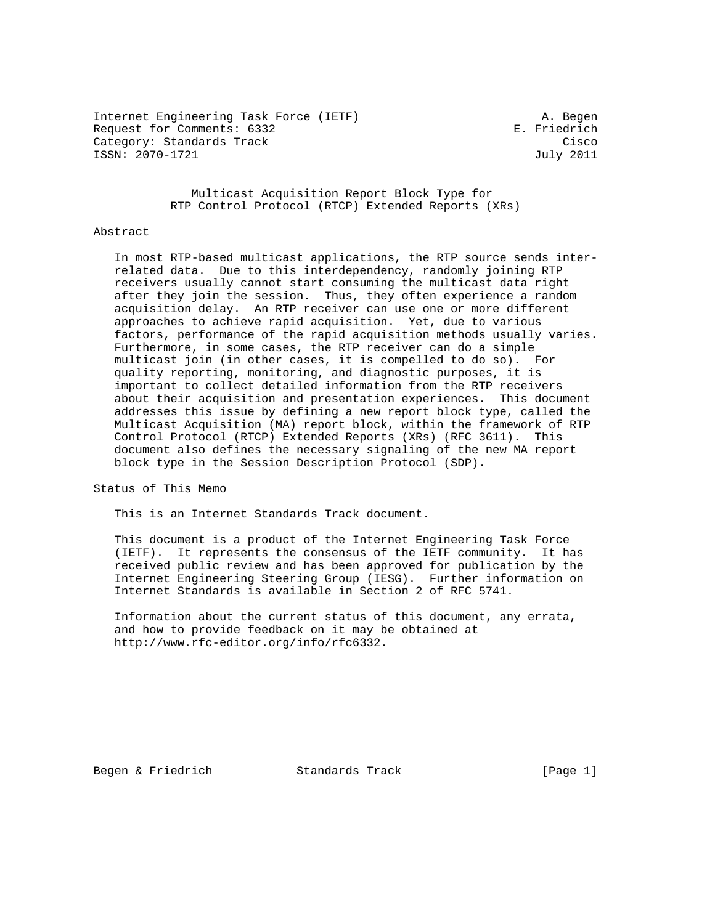Internet Engineering Task Force (IETF) A. Begen Request for Comments: 6332 E. Friedrich Category: Standards Track Cisco ISSN: 2070-1721 July 2011

 Multicast Acquisition Report Block Type for RTP Control Protocol (RTCP) Extended Reports (XRs)

### Abstract

 In most RTP-based multicast applications, the RTP source sends inter related data. Due to this interdependency, randomly joining RTP receivers usually cannot start consuming the multicast data right after they join the session. Thus, they often experience a random acquisition delay. An RTP receiver can use one or more different approaches to achieve rapid acquisition. Yet, due to various factors, performance of the rapid acquisition methods usually varies. Furthermore, in some cases, the RTP receiver can do a simple multicast join (in other cases, it is compelled to do so). For quality reporting, monitoring, and diagnostic purposes, it is important to collect detailed information from the RTP receivers about their acquisition and presentation experiences. This document addresses this issue by defining a new report block type, called the Multicast Acquisition (MA) report block, within the framework of RTP Control Protocol (RTCP) Extended Reports (XRs) (RFC 3611). This document also defines the necessary signaling of the new MA report block type in the Session Description Protocol (SDP).

Status of This Memo

This is an Internet Standards Track document.

 This document is a product of the Internet Engineering Task Force (IETF). It represents the consensus of the IETF community. It has received public review and has been approved for publication by the Internet Engineering Steering Group (IESG). Further information on Internet Standards is available in Section 2 of RFC 5741.

 Information about the current status of this document, any errata, and how to provide feedback on it may be obtained at http://www.rfc-editor.org/info/rfc6332.

Begen & Friedrich Standards Track [Page 1]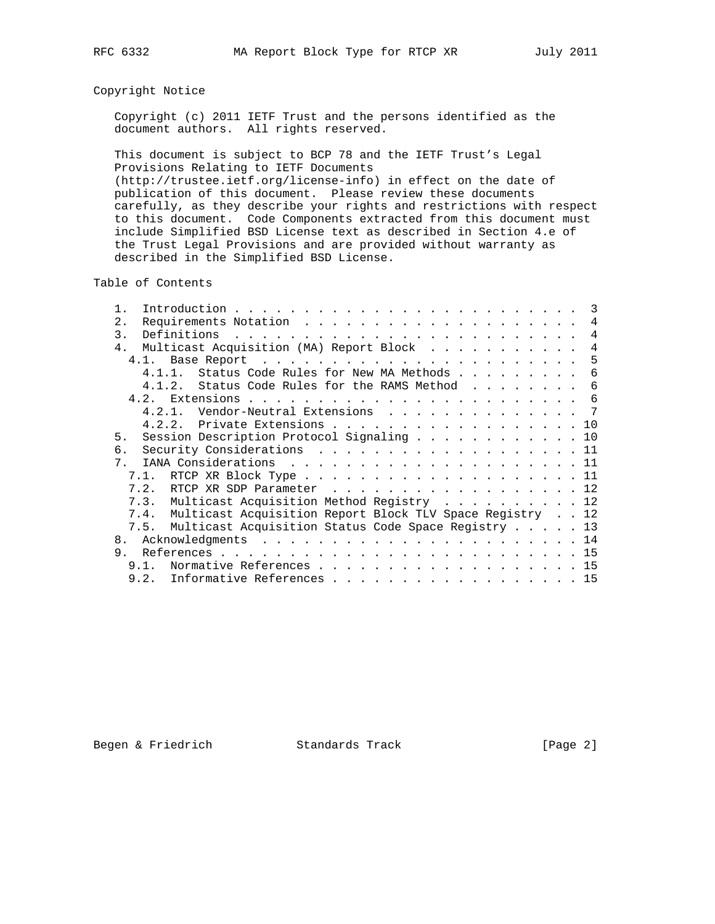# Copyright Notice

 Copyright (c) 2011 IETF Trust and the persons identified as the document authors. All rights reserved.

 This document is subject to BCP 78 and the IETF Trust's Legal Provisions Relating to IETF Documents (http://trustee.ietf.org/license-info) in effect on the date of publication of this document. Please review these documents carefully, as they describe your rights and restrictions with respect to this document. Code Components extracted from this document must include Simplified BSD License text as described in Section 4.e of the Trust Legal Provisions and are provided without warranty as described in the Simplified BSD License.

Table of Contents

| $2$ .                                 |           |                                                               |  |  |  |  | 4              |
|---------------------------------------|-----------|---------------------------------------------------------------|--|--|--|--|----------------|
| 3.                                    |           | Definitions                                                   |  |  |  |  | $\overline{4}$ |
| 4 <sub>1</sub>                        |           | Multicast Acquisition (MA) Report Block                       |  |  |  |  | $\overline{4}$ |
|                                       |           |                                                               |  |  |  |  | -5             |
|                                       | $4.1.1$ . | Status Code Rules for New MA Methods                          |  |  |  |  | 6              |
|                                       |           | Status Code Rules for the RAMS Method<br>4.1.2.               |  |  |  |  | 6              |
|                                       |           |                                                               |  |  |  |  |                |
|                                       |           | Vendor-Neutral Extensions 7<br>4.2.1.                         |  |  |  |  |                |
|                                       |           | 4.2.2. Private Extensions 10                                  |  |  |  |  |                |
| 5.                                    |           | Session Description Protocol Signaling 10                     |  |  |  |  |                |
| б.                                    |           | Security Considerations 11                                    |  |  |  |  |                |
| $7_{\scriptscriptstyle{\ddot{\,}}\,}$ |           |                                                               |  |  |  |  |                |
|                                       | 7.1.      |                                                               |  |  |  |  |                |
|                                       | 7.2.      | RTCP XR SDP Parameter 12                                      |  |  |  |  |                |
|                                       |           | 7.3. Multicast Acquisition Method Registry  12                |  |  |  |  |                |
|                                       |           | 7.4. Multicast Acquisition Report Block TLV Space Registry 12 |  |  |  |  |                |
|                                       |           | 7.5. Multicast Acquisition Status Code Space Registry 13      |  |  |  |  |                |
| 8.                                    |           |                                                               |  |  |  |  |                |
| 9.                                    |           |                                                               |  |  |  |  |                |
|                                       | 9 1       | Normative References 15                                       |  |  |  |  |                |
|                                       | 9.2.      | Informative References 15                                     |  |  |  |  |                |
|                                       |           |                                                               |  |  |  |  |                |

Begen & Friedrich Standards Track [Page 2]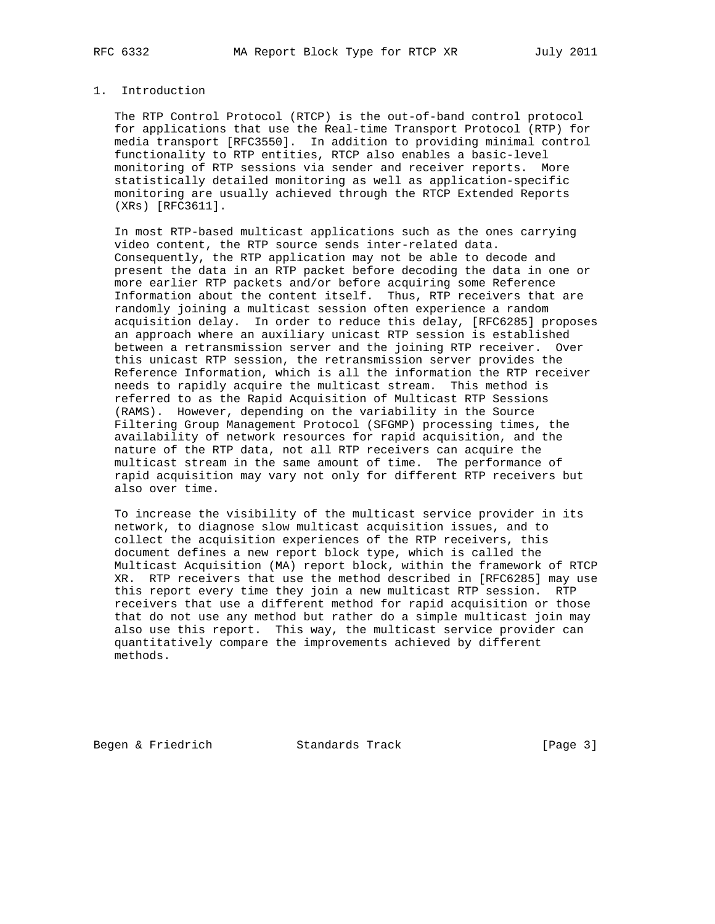# 1. Introduction

 The RTP Control Protocol (RTCP) is the out-of-band control protocol for applications that use the Real-time Transport Protocol (RTP) for media transport [RFC3550]. In addition to providing minimal control functionality to RTP entities, RTCP also enables a basic-level monitoring of RTP sessions via sender and receiver reports. More statistically detailed monitoring as well as application-specific monitoring are usually achieved through the RTCP Extended Reports (XRs) [RFC3611].

 In most RTP-based multicast applications such as the ones carrying video content, the RTP source sends inter-related data. Consequently, the RTP application may not be able to decode and present the data in an RTP packet before decoding the data in one or more earlier RTP packets and/or before acquiring some Reference Information about the content itself. Thus, RTP receivers that are randomly joining a multicast session often experience a random acquisition delay. In order to reduce this delay, [RFC6285] proposes an approach where an auxiliary unicast RTP session is established between a retransmission server and the joining RTP receiver. Over this unicast RTP session, the retransmission server provides the Reference Information, which is all the information the RTP receiver needs to rapidly acquire the multicast stream. This method is referred to as the Rapid Acquisition of Multicast RTP Sessions (RAMS). However, depending on the variability in the Source Filtering Group Management Protocol (SFGMP) processing times, the availability of network resources for rapid acquisition, and the nature of the RTP data, not all RTP receivers can acquire the multicast stream in the same amount of time. The performance of rapid acquisition may vary not only for different RTP receivers but also over time.

 To increase the visibility of the multicast service provider in its network, to diagnose slow multicast acquisition issues, and to collect the acquisition experiences of the RTP receivers, this document defines a new report block type, which is called the Multicast Acquisition (MA) report block, within the framework of RTCP XR. RTP receivers that use the method described in [RFC6285] may use this report every time they join a new multicast RTP session. RTP receivers that use a different method for rapid acquisition or those that do not use any method but rather do a simple multicast join may also use this report. This way, the multicast service provider can quantitatively compare the improvements achieved by different methods.

Begen & Friedrich Standards Track [Page 3]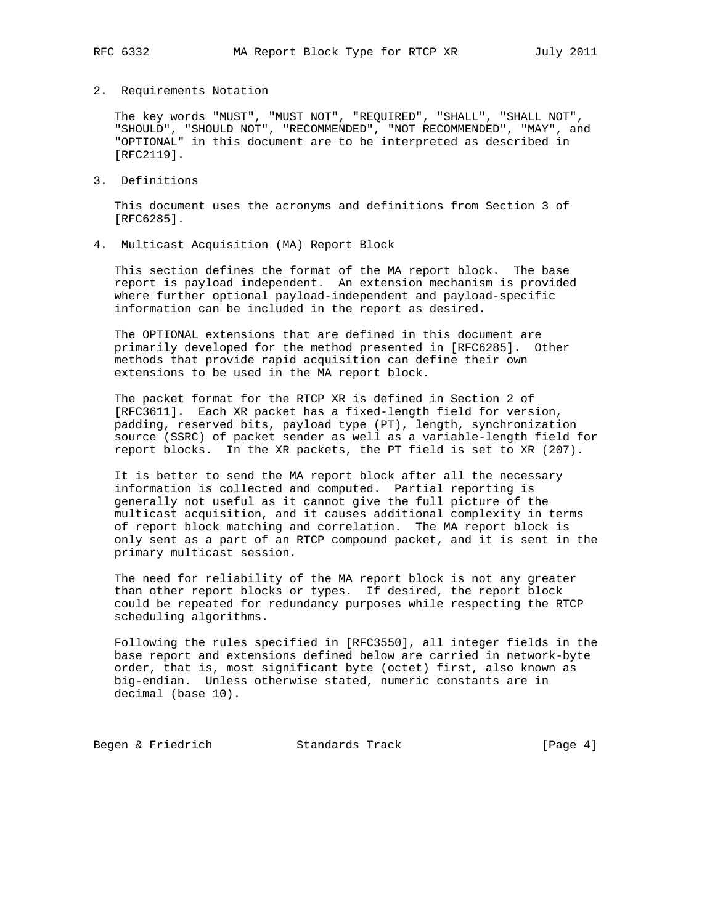## 2. Requirements Notation

 The key words "MUST", "MUST NOT", "REQUIRED", "SHALL", "SHALL NOT", "SHOULD", "SHOULD NOT", "RECOMMENDED", "NOT RECOMMENDED", "MAY", and "OPTIONAL" in this document are to be interpreted as described in [RFC2119].

3. Definitions

 This document uses the acronyms and definitions from Section 3 of [RFC6285].

4. Multicast Acquisition (MA) Report Block

 This section defines the format of the MA report block. The base report is payload independent. An extension mechanism is provided where further optional payload-independent and payload-specific information can be included in the report as desired.

 The OPTIONAL extensions that are defined in this document are primarily developed for the method presented in [RFC6285]. Other methods that provide rapid acquisition can define their own extensions to be used in the MA report block.

 The packet format for the RTCP XR is defined in Section 2 of [RFC3611]. Each XR packet has a fixed-length field for version, padding, reserved bits, payload type (PT), length, synchronization source (SSRC) of packet sender as well as a variable-length field for report blocks. In the XR packets, the PT field is set to XR (207).

 It is better to send the MA report block after all the necessary information is collected and computed. Partial reporting is generally not useful as it cannot give the full picture of the multicast acquisition, and it causes additional complexity in terms of report block matching and correlation. The MA report block is only sent as a part of an RTCP compound packet, and it is sent in the primary multicast session.

 The need for reliability of the MA report block is not any greater than other report blocks or types. If desired, the report block could be repeated for redundancy purposes while respecting the RTCP scheduling algorithms.

 Following the rules specified in [RFC3550], all integer fields in the base report and extensions defined below are carried in network-byte order, that is, most significant byte (octet) first, also known as big-endian. Unless otherwise stated, numeric constants are in decimal (base 10).

Begen & Friedrich Standards Track [Page 4]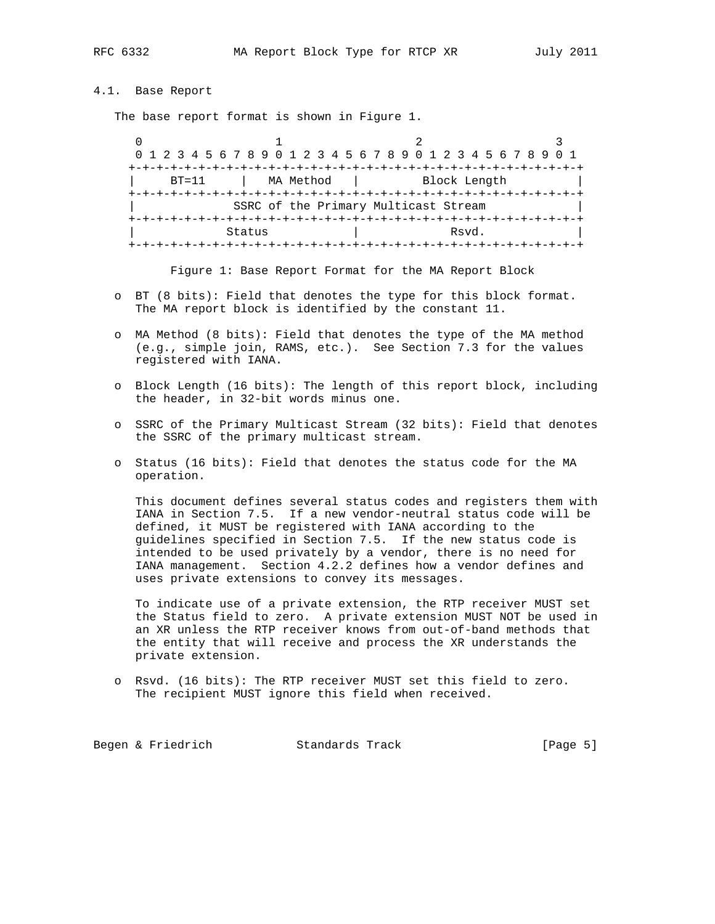# 4.1. Base Report

The base report format is shown in Figure 1.

 $0$  and  $1$  and  $2$  3 0 1 2 3 4 5 6 7 8 9 0 1 2 3 4 5 6 7 8 9 0 1 2 3 4 5 6 7 8 9 0 1 +-+-+-+-+-+-+-+-+-+-+-+-+-+-+-+-+-+-+-+-+-+-+-+-+-+-+-+-+-+-+-+-+ BT=11 | MA Method | Block Length +-+-+-+-+-+-+-+-+-+-+-+-+-+-+-+-+-+-+-+-+-+-+-+-+-+-+-+-+-+-+-+-+ SSRC of the Primary Multicast Stream +-+-+-+-+-+-+-+-+-+-+-+-+-+-+-+-+-+-+-+-+-+-+-+-+-+-+-+-+-+-+-+-+ Status | Rsvd. +-+-+-+-+-+-+-+-+-+-+-+-+-+-+-+-+-+-+-+-+-+-+-+-+-+-+-+-+-+-+-+-+

Figure 1: Base Report Format for the MA Report Block

- o BT (8 bits): Field that denotes the type for this block format. The MA report block is identified by the constant 11.
- o MA Method (8 bits): Field that denotes the type of the MA method (e.g., simple join, RAMS, etc.). See Section 7.3 for the values registered with IANA.
- o Block Length (16 bits): The length of this report block, including the header, in 32-bit words minus one.
- o SSRC of the Primary Multicast Stream (32 bits): Field that denotes the SSRC of the primary multicast stream.
- o Status (16 bits): Field that denotes the status code for the MA operation.

 This document defines several status codes and registers them with IANA in Section 7.5. If a new vendor-neutral status code will be defined, it MUST be registered with IANA according to the guidelines specified in Section 7.5. If the new status code is intended to be used privately by a vendor, there is no need for IANA management. Section 4.2.2 defines how a vendor defines and uses private extensions to convey its messages.

 To indicate use of a private extension, the RTP receiver MUST set the Status field to zero. A private extension MUST NOT be used in an XR unless the RTP receiver knows from out-of-band methods that the entity that will receive and process the XR understands the private extension.

 o Rsvd. (16 bits): The RTP receiver MUST set this field to zero. The recipient MUST ignore this field when received.

Begen & Friedrich Standards Track [Page 5]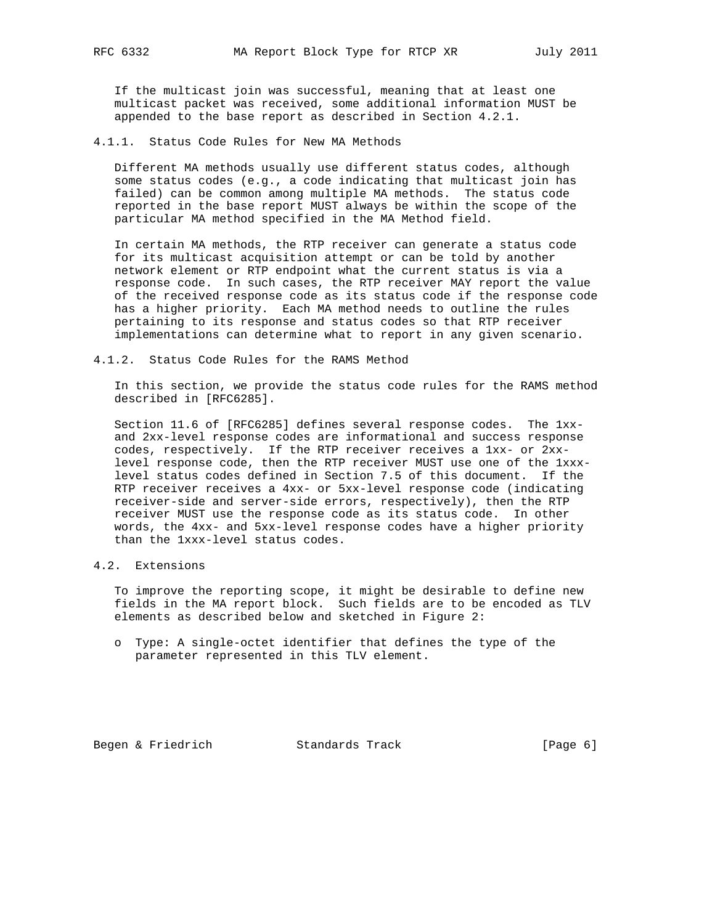If the multicast join was successful, meaning that at least one multicast packet was received, some additional information MUST be appended to the base report as described in Section 4.2.1.

4.1.1. Status Code Rules for New MA Methods

 Different MA methods usually use different status codes, although some status codes (e.g., a code indicating that multicast join has failed) can be common among multiple MA methods. The status code reported in the base report MUST always be within the scope of the particular MA method specified in the MA Method field.

 In certain MA methods, the RTP receiver can generate a status code for its multicast acquisition attempt or can be told by another network element or RTP endpoint what the current status is via a response code. In such cases, the RTP receiver MAY report the value of the received response code as its status code if the response code has a higher priority. Each MA method needs to outline the rules pertaining to its response and status codes so that RTP receiver implementations can determine what to report in any given scenario.

4.1.2. Status Code Rules for the RAMS Method

 In this section, we provide the status code rules for the RAMS method described in [RFC6285].

 Section 11.6 of [RFC6285] defines several response codes. The 1xx and 2xx-level response codes are informational and success response codes, respectively. If the RTP receiver receives a 1xx- or 2xx level response code, then the RTP receiver MUST use one of the 1xxx level status codes defined in Section 7.5 of this document. If the RTP receiver receives a 4xx- or 5xx-level response code (indicating receiver-side and server-side errors, respectively), then the RTP receiver MUST use the response code as its status code. In other words, the 4xx- and 5xx-level response codes have a higher priority than the 1xxx-level status codes.

# 4.2. Extensions

 To improve the reporting scope, it might be desirable to define new fields in the MA report block. Such fields are to be encoded as TLV elements as described below and sketched in Figure 2:

 o Type: A single-octet identifier that defines the type of the parameter represented in this TLV element.

Begen & Friedrich Standards Track [Page 6]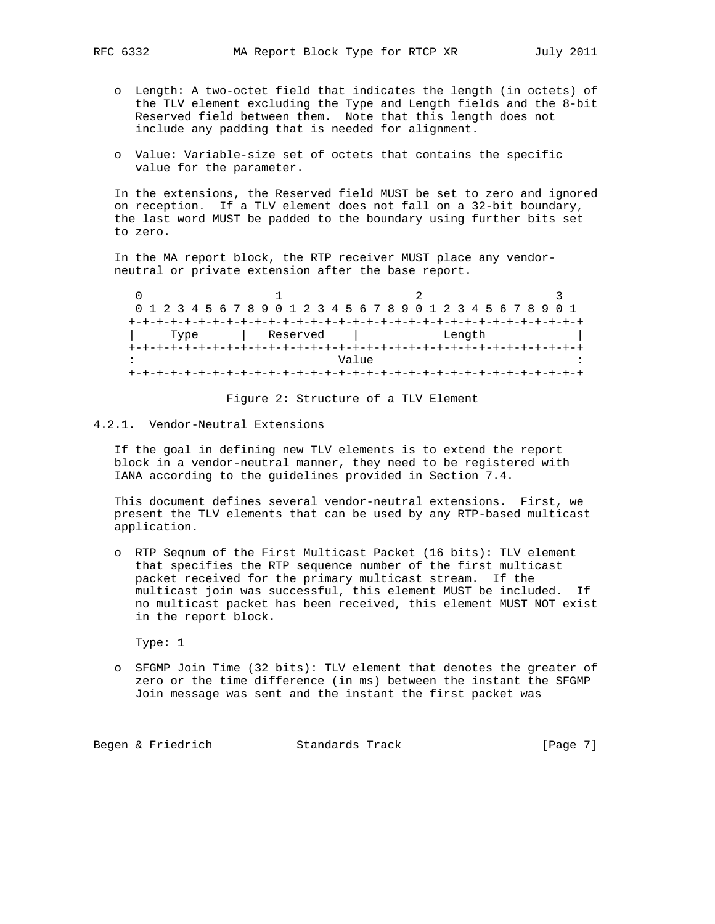- o Length: A two-octet field that indicates the length (in octets) of the TLV element excluding the Type and Length fields and the 8-bit Reserved field between them. Note that this length does not include any padding that is needed for alignment.
- o Value: Variable-size set of octets that contains the specific value for the parameter.

 In the extensions, the Reserved field MUST be set to zero and ignored on reception. If a TLV element does not fall on a 32-bit boundary, the last word MUST be padded to the boundary using further bits set to zero.

 In the MA report block, the RTP receiver MUST place any vendor neutral or private extension after the base report.

|  |  |      |  |  | 0 1 2 3 4 5 6 7 8 9 0 1 2 3 4 5 6 7 8 9 0 1 2 3 4 5 6 7 8 9 0 1 |  |          |  |       |  |  |  |  |        |  |  |  |  |
|--|--|------|--|--|-----------------------------------------------------------------|--|----------|--|-------|--|--|--|--|--------|--|--|--|--|
|  |  |      |  |  |                                                                 |  |          |  |       |  |  |  |  |        |  |  |  |  |
|  |  | Type |  |  |                                                                 |  | Reserved |  |       |  |  |  |  | Length |  |  |  |  |
|  |  |      |  |  |                                                                 |  |          |  |       |  |  |  |  |        |  |  |  |  |
|  |  |      |  |  |                                                                 |  |          |  | Value |  |  |  |  |        |  |  |  |  |
|  |  |      |  |  |                                                                 |  |          |  |       |  |  |  |  |        |  |  |  |  |

Figure 2: Structure of a TLV Element

# 4.2.1. Vendor-Neutral Extensions

 If the goal in defining new TLV elements is to extend the report block in a vendor-neutral manner, they need to be registered with IANA according to the guidelines provided in Section 7.4.

 This document defines several vendor-neutral extensions. First, we present the TLV elements that can be used by any RTP-based multicast application.

 o RTP Seqnum of the First Multicast Packet (16 bits): TLV element that specifies the RTP sequence number of the first multicast packet received for the primary multicast stream. If the multicast join was successful, this element MUST be included. If no multicast packet has been received, this element MUST NOT exist in the report block.

Type: 1

 o SFGMP Join Time (32 bits): TLV element that denotes the greater of zero or the time difference (in ms) between the instant the SFGMP Join message was sent and the instant the first packet was

Begen & Friedrich Standards Track [Page 7]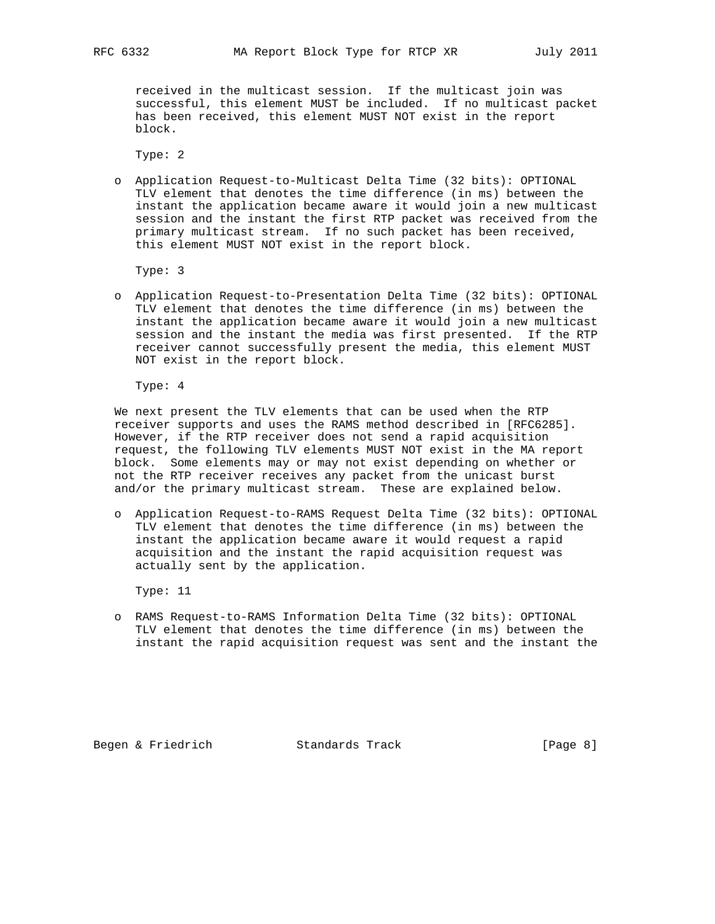received in the multicast session. If the multicast join was successful, this element MUST be included. If no multicast packet has been received, this element MUST NOT exist in the report block.

Type: 2

 o Application Request-to-Multicast Delta Time (32 bits): OPTIONAL TLV element that denotes the time difference (in ms) between the instant the application became aware it would join a new multicast session and the instant the first RTP packet was received from the primary multicast stream. If no such packet has been received, this element MUST NOT exist in the report block.

Type: 3

 o Application Request-to-Presentation Delta Time (32 bits): OPTIONAL TLV element that denotes the time difference (in ms) between the instant the application became aware it would join a new multicast session and the instant the media was first presented. If the RTP receiver cannot successfully present the media, this element MUST NOT exist in the report block.

Type: 4

 We next present the TLV elements that can be used when the RTP receiver supports and uses the RAMS method described in [RFC6285]. However, if the RTP receiver does not send a rapid acquisition request, the following TLV elements MUST NOT exist in the MA report block. Some elements may or may not exist depending on whether or not the RTP receiver receives any packet from the unicast burst and/or the primary multicast stream. These are explained below.

 o Application Request-to-RAMS Request Delta Time (32 bits): OPTIONAL TLV element that denotes the time difference (in ms) between the instant the application became aware it would request a rapid acquisition and the instant the rapid acquisition request was actually sent by the application.

Type: 11

 o RAMS Request-to-RAMS Information Delta Time (32 bits): OPTIONAL TLV element that denotes the time difference (in ms) between the instant the rapid acquisition request was sent and the instant the

Begen & Friedrich Standards Track [Page 8]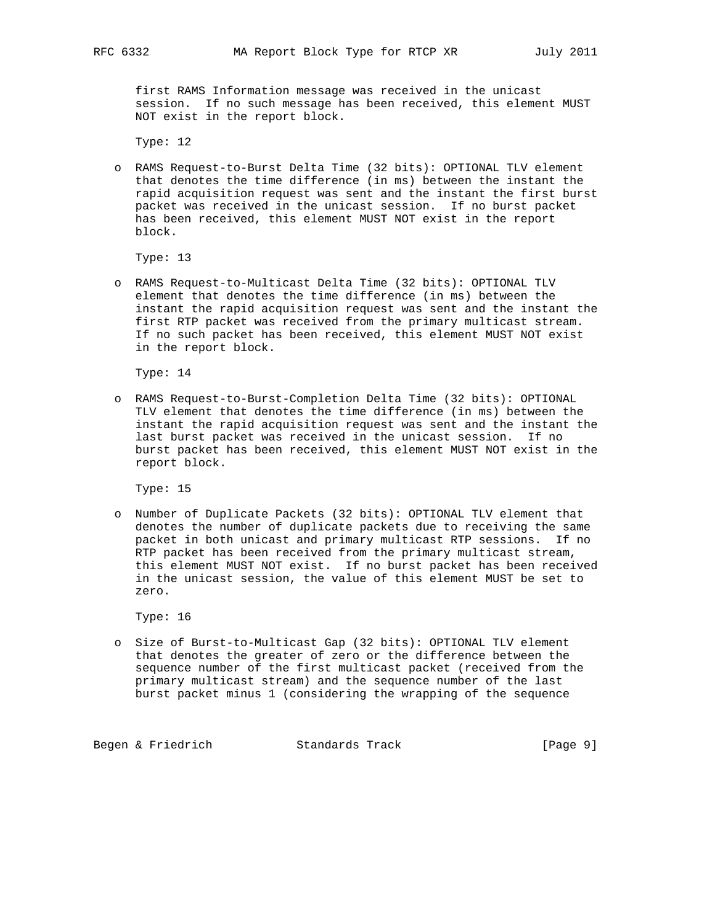first RAMS Information message was received in the unicast session. If no such message has been received, this element MUST NOT exist in the report block.

Type: 12

 o RAMS Request-to-Burst Delta Time (32 bits): OPTIONAL TLV element that denotes the time difference (in ms) between the instant the rapid acquisition request was sent and the instant the first burst packet was received in the unicast session. If no burst packet has been received, this element MUST NOT exist in the report block.

Type: 13

 o RAMS Request-to-Multicast Delta Time (32 bits): OPTIONAL TLV element that denotes the time difference (in ms) between the instant the rapid acquisition request was sent and the instant the first RTP packet was received from the primary multicast stream. If no such packet has been received, this element MUST NOT exist in the report block.

Type: 14

 o RAMS Request-to-Burst-Completion Delta Time (32 bits): OPTIONAL TLV element that denotes the time difference (in ms) between the instant the rapid acquisition request was sent and the instant the last burst packet was received in the unicast session. If no burst packet has been received, this element MUST NOT exist in the report block.

Type: 15

 o Number of Duplicate Packets (32 bits): OPTIONAL TLV element that denotes the number of duplicate packets due to receiving the same packet in both unicast and primary multicast RTP sessions. If no RTP packet has been received from the primary multicast stream, this element MUST NOT exist. If no burst packet has been received in the unicast session, the value of this element MUST be set to zero.

Type: 16

 o Size of Burst-to-Multicast Gap (32 bits): OPTIONAL TLV element that denotes the greater of zero or the difference between the sequence number of the first multicast packet (received from the primary multicast stream) and the sequence number of the last burst packet minus 1 (considering the wrapping of the sequence

Begen & Friedrich Standards Track [Page 9]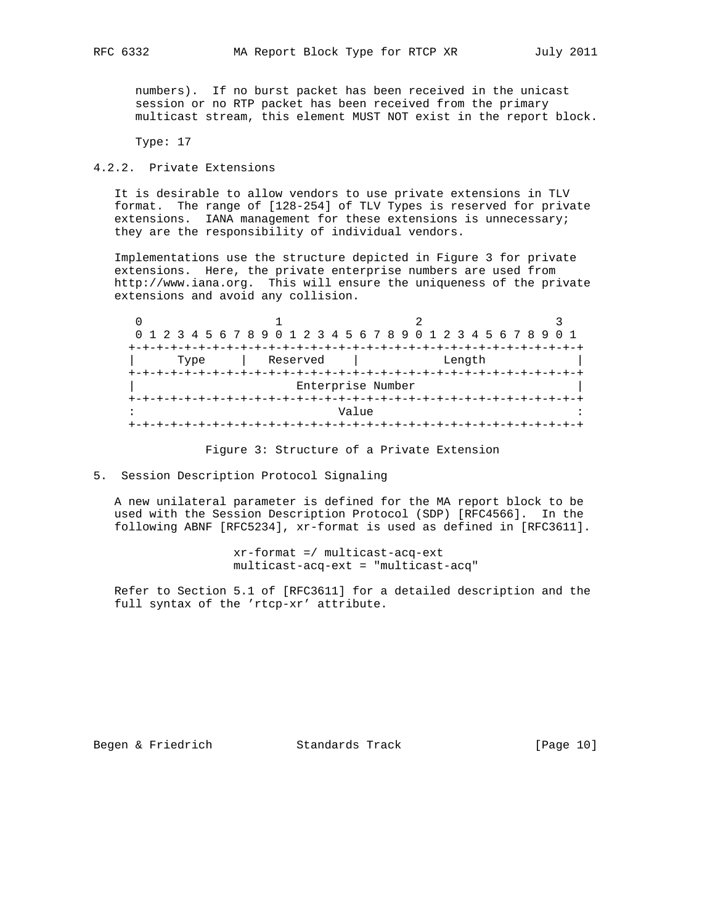numbers). If no burst packet has been received in the unicast session or no RTP packet has been received from the primary multicast stream, this element MUST NOT exist in the report block.

Type: 17

# 4.2.2. Private Extensions

 It is desirable to allow vendors to use private extensions in TLV format. The range of [128-254] of TLV Types is reserved for private extensions. IANA management for these extensions is unnecessary; they are the responsibility of individual vendors.

 Implementations use the structure depicted in Figure 3 for private extensions. Here, the private enterprise numbers are used from http://www.iana.org. This will ensure the uniqueness of the private extensions and avoid any collision.

|      |          | 0 1 2 3 4 5 6 7 8 9 0 1 2 3 4 5 6 7 8 9 0 1 2 3 4 5 6 7 8 9 |  |
|------|----------|-------------------------------------------------------------|--|
|      |          |                                                             |  |
| Type | Reserved | Length                                                      |  |
|      |          |                                                             |  |
|      |          | Enterprise Number                                           |  |
|      |          |                                                             |  |
|      |          | Value                                                       |  |
|      |          |                                                             |  |

## Figure 3: Structure of a Private Extension

## 5. Session Description Protocol Signaling

 A new unilateral parameter is defined for the MA report block to be used with the Session Description Protocol (SDP) [RFC4566]. In the following ABNF [RFC5234], xr-format is used as defined in [RFC3611].

> xr-format =/ multicast-acq-ext multicast-acq-ext = "multicast-acq"

 Refer to Section 5.1 of [RFC3611] for a detailed description and the full syntax of the 'rtcp-xr' attribute.

Begen & Friedrich Standards Track [Page 10]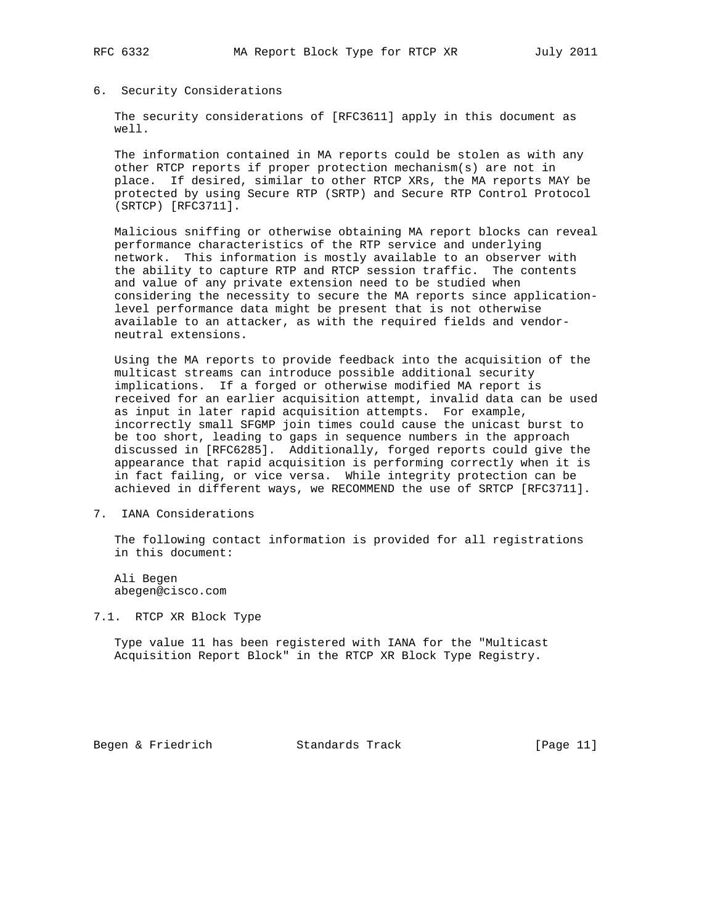## 6. Security Considerations

 The security considerations of [RFC3611] apply in this document as well.

 The information contained in MA reports could be stolen as with any other RTCP reports if proper protection mechanism(s) are not in place. If desired, similar to other RTCP XRs, the MA reports MAY be protected by using Secure RTP (SRTP) and Secure RTP Control Protocol (SRTCP) [RFC3711].

 Malicious sniffing or otherwise obtaining MA report blocks can reveal performance characteristics of the RTP service and underlying network. This information is mostly available to an observer with the ability to capture RTP and RTCP session traffic. The contents and value of any private extension need to be studied when considering the necessity to secure the MA reports since application level performance data might be present that is not otherwise available to an attacker, as with the required fields and vendor neutral extensions.

 Using the MA reports to provide feedback into the acquisition of the multicast streams can introduce possible additional security implications. If a forged or otherwise modified MA report is received for an earlier acquisition attempt, invalid data can be used as input in later rapid acquisition attempts. For example, incorrectly small SFGMP join times could cause the unicast burst to be too short, leading to gaps in sequence numbers in the approach discussed in [RFC6285]. Additionally, forged reports could give the appearance that rapid acquisition is performing correctly when it is in fact failing, or vice versa. While integrity protection can be achieved in different ways, we RECOMMEND the use of SRTCP [RFC3711].

7. IANA Considerations

 The following contact information is provided for all registrations in this document:

 Ali Begen abegen@cisco.com

7.1. RTCP XR Block Type

 Type value 11 has been registered with IANA for the "Multicast Acquisition Report Block" in the RTCP XR Block Type Registry.

Begen & Friedrich Standards Track [Page 11]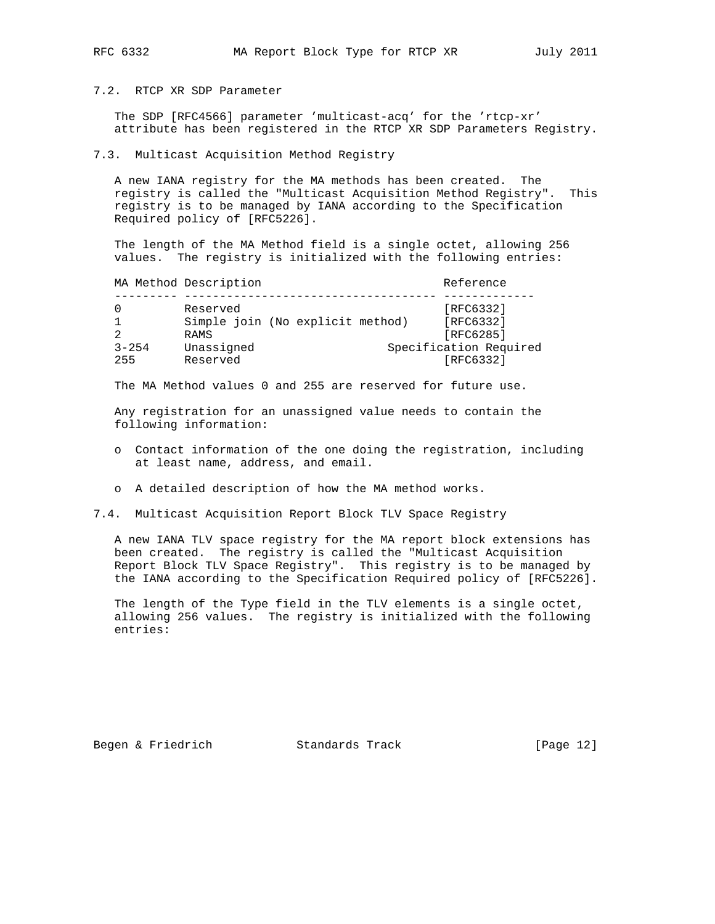# 7.2. RTCP XR SDP Parameter

 The SDP [RFC4566] parameter 'multicast-acq' for the 'rtcp-xr' attribute has been registered in the RTCP XR SDP Parameters Registry.

## 7.3. Multicast Acquisition Method Registry

 A new IANA registry for the MA methods has been created. The registry is called the "Multicast Acquisition Method Registry". This registry is to be managed by IANA according to the Specification Required policy of [RFC5226].

 The length of the MA Method field is a single octet, allowing 256 values. The registry is initialized with the following entries:

|           | MA Method Description            | Reference              |
|-----------|----------------------------------|------------------------|
|           |                                  |                        |
|           | Reserved                         | [RFC6332]              |
|           | Simple join (No explicit method) | [RFC6332]              |
|           | <b>RAMS</b>                      | [RFC6285]              |
| $3 - 254$ | Unassigned                       | Specification Required |
| 255       | Reserved                         | [RFC6332]              |

The MA Method values 0 and 255 are reserved for future use.

 Any registration for an unassigned value needs to contain the following information:

- o Contact information of the one doing the registration, including at least name, address, and email.
- o A detailed description of how the MA method works.

7.4. Multicast Acquisition Report Block TLV Space Registry

 A new IANA TLV space registry for the MA report block extensions has been created. The registry is called the "Multicast Acquisition Report Block TLV Space Registry". This registry is to be managed by the IANA according to the Specification Required policy of [RFC5226].

 The length of the Type field in the TLV elements is a single octet, allowing 256 values. The registry is initialized with the following entries:

Begen & Friedrich Standards Track [Page 12]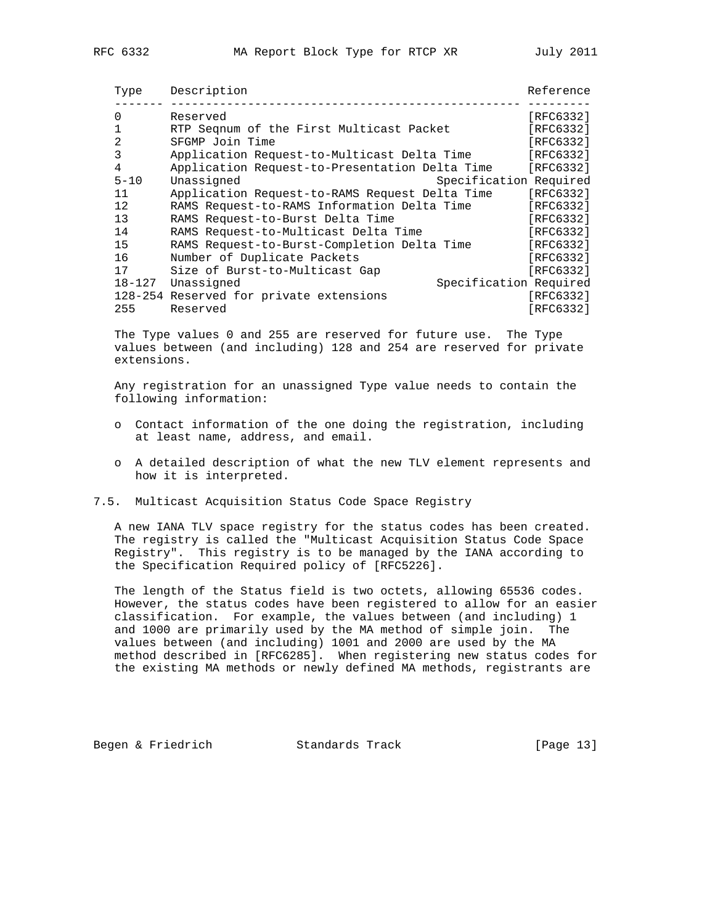| Type           | Description                                    | Reference |
|----------------|------------------------------------------------|-----------|
| 0              | Reserved                                       | [RFC6332] |
|                | RTP Segnum of the First Multicast Packet       | [RFC6332] |
| $\overline{2}$ | SFGMP Join Time                                | [RFC6332] |
| 3              | Application Request-to-Multicast Delta Time    | [RFC6332] |
| 4              | Application Request-to-Presentation Delta Time | [RFC6332] |
| $5 - 10$       | Specification Required<br>Unassigned           |           |
| 11             | Application Request-to-RAMS Request Delta Time | [RFC6332] |
| 12             | RAMS Request-to-RAMS Information Delta Time    | [RFC6332] |
| 13             | RAMS Request-to-Burst Delta Time               | [RFC6332] |
| 14             | RAMS Request-to-Multicast Delta Time           | [RFC6332] |
| 15             | RAMS Request-to-Burst-Completion Delta Time    | [RFC6332] |
| 16             | Number of Duplicate Packets                    | [RFC6332] |
| 17             | Size of Burst-to-Multicast Gap                 | [RFC6332] |
| $18 - 127$     | Specification Required<br>Unassigned           |           |
|                | 128-254 Reserved for private extensions        | [RFC6332] |
| 255            | Reserved                                       | [RFC6332] |

 The Type values 0 and 255 are reserved for future use. The Type values between (and including) 128 and 254 are reserved for private extensions.

 Any registration for an unassigned Type value needs to contain the following information:

- o Contact information of the one doing the registration, including at least name, address, and email.
- o A detailed description of what the new TLV element represents and how it is interpreted.
- 7.5. Multicast Acquisition Status Code Space Registry

 A new IANA TLV space registry for the status codes has been created. The registry is called the "Multicast Acquisition Status Code Space Registry". This registry is to be managed by the IANA according to the Specification Required policy of [RFC5226].

 The length of the Status field is two octets, allowing 65536 codes. However, the status codes have been registered to allow for an easier classification. For example, the values between (and including) 1 and 1000 are primarily used by the MA method of simple join. The values between (and including) 1001 and 2000 are used by the MA method described in [RFC6285]. When registering new status codes for the existing MA methods or newly defined MA methods, registrants are

Begen & Friedrich Standards Track [Page 13]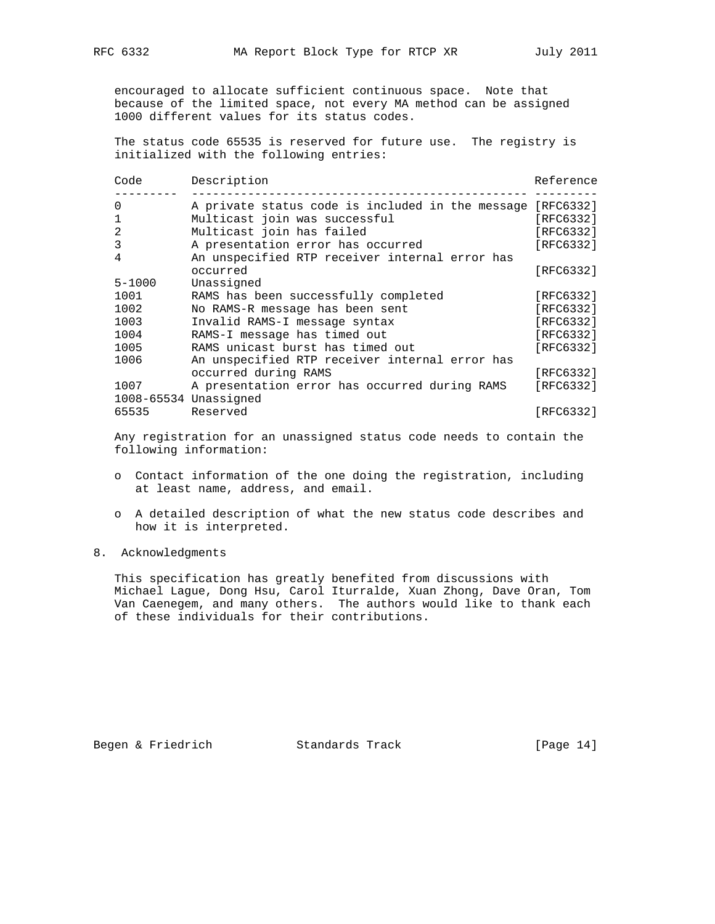encouraged to allocate sufficient continuous space. Note that because of the limited space, not every MA method can be assigned 1000 different values for its status codes.

 The status code 65535 is reserved for future use. The registry is initialized with the following entries:

| Code       | Description                                                | Reference |
|------------|------------------------------------------------------------|-----------|
| 0          | A private status code is included in the message [RFC6332] |           |
|            | Multicast join was successful                              | [RFC6332] |
| 2          | Multicast join has failed                                  | [RFC6332] |
| 3          | A presentation error has occurred                          | [RFC6332] |
| 4          | An unspecified RTP receiver internal error has             |           |
|            | occurred                                                   | [RFC6332] |
| $5 - 1000$ | Unassigned                                                 |           |
| 1001       | RAMS has been successfully completed                       | [RFC6332] |
| 1002       | No RAMS-R message has been sent                            | [RFC6332] |
| 1003       | Invalid RAMS-I message syntax                              | [RFC6332] |
| 1004       | RAMS-I message has timed out                               | [RFC6332] |
| 1005       | RAMS unicast burst has timed out                           | [RFC6332] |
| 1006       | An unspecified RTP receiver internal error has             |           |
|            | occurred during RAMS                                       | [RFC6332] |
| 1007       | A presentation error has occurred during RAMS              | [RFC6332] |
|            | 1008-65534 Unassigned                                      |           |
| 65535      | Reserved                                                   | [RFC6332] |

 Any registration for an unassigned status code needs to contain the following information:

- o Contact information of the one doing the registration, including at least name, address, and email.
- o A detailed description of what the new status code describes and how it is interpreted.
- 8. Acknowledgments

 This specification has greatly benefited from discussions with Michael Lague, Dong Hsu, Carol Iturralde, Xuan Zhong, Dave Oran, Tom Van Caenegem, and many others. The authors would like to thank each of these individuals for their contributions.

Begen & Friedrich Standards Track [Page 14]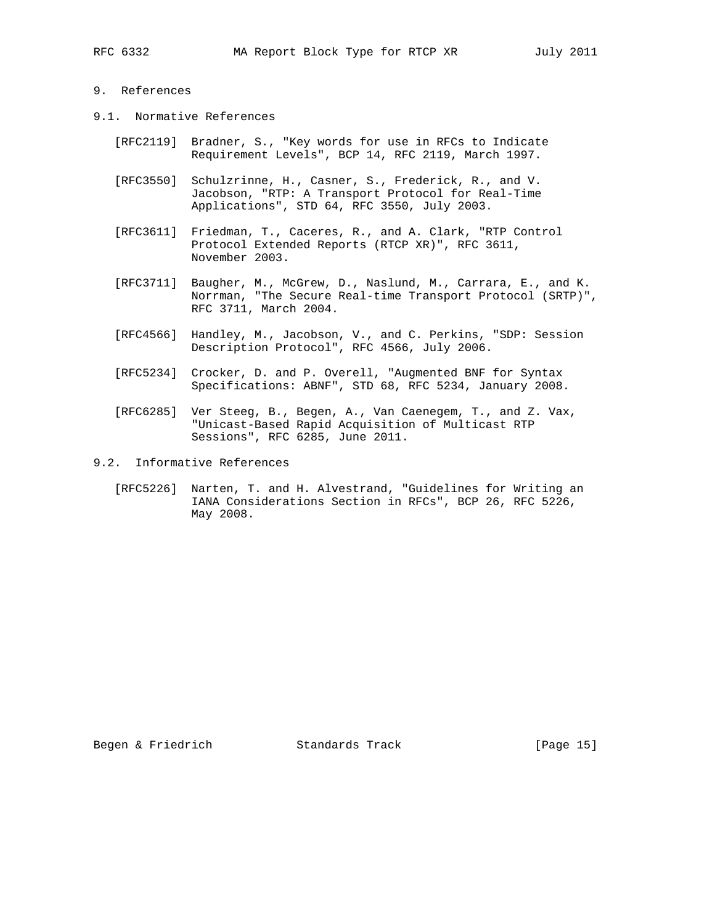# 9. References

- 9.1. Normative References
	- [RFC2119] Bradner, S., "Key words for use in RFCs to Indicate Requirement Levels", BCP 14, RFC 2119, March 1997.
	- [RFC3550] Schulzrinne, H., Casner, S., Frederick, R., and V. Jacobson, "RTP: A Transport Protocol for Real-Time Applications", STD 64, RFC 3550, July 2003.
	- [RFC3611] Friedman, T., Caceres, R., and A. Clark, "RTP Control Protocol Extended Reports (RTCP XR)", RFC 3611, November 2003.
	- [RFC3711] Baugher, M., McGrew, D., Naslund, M., Carrara, E., and K. Norrman, "The Secure Real-time Transport Protocol (SRTP)", RFC 3711, March 2004.
	- [RFC4566] Handley, M., Jacobson, V., and C. Perkins, "SDP: Session Description Protocol", RFC 4566, July 2006.
	- [RFC5234] Crocker, D. and P. Overell, "Augmented BNF for Syntax Specifications: ABNF", STD 68, RFC 5234, January 2008.
	- [RFC6285] Ver Steeg, B., Begen, A., Van Caenegem, T., and Z. Vax, "Unicast-Based Rapid Acquisition of Multicast RTP Sessions", RFC 6285, June 2011.
- 9.2. Informative References
	- [RFC5226] Narten, T. and H. Alvestrand, "Guidelines for Writing an IANA Considerations Section in RFCs", BCP 26, RFC 5226, May 2008.